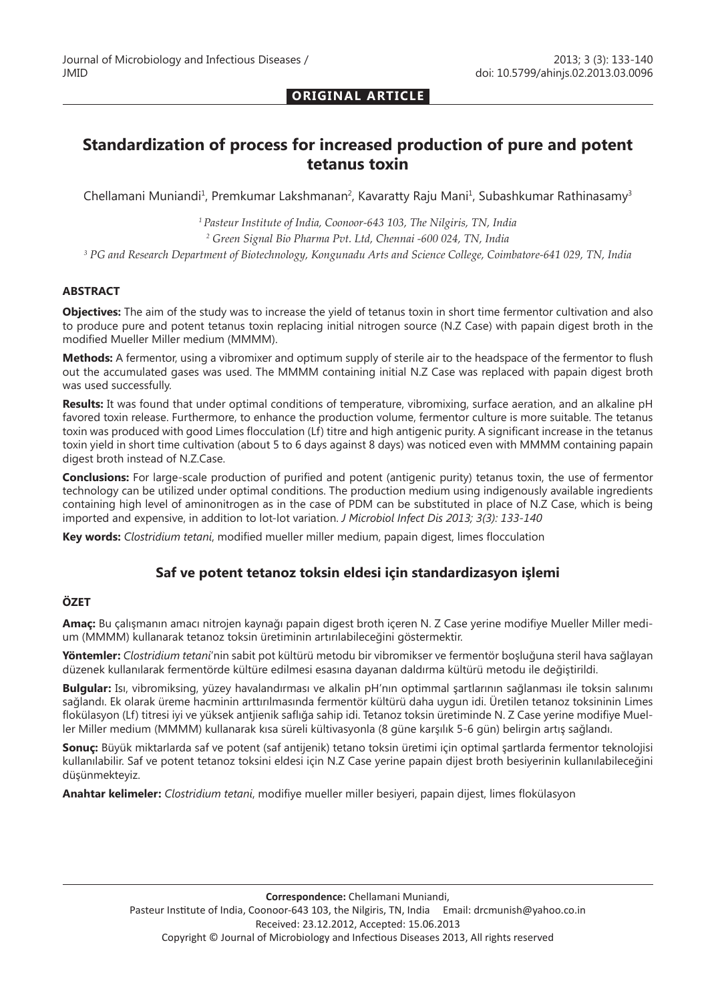#### **ORIGINAL ARTICLE**

# **Standardization of process for increased production of pure and potent tetanus toxin**

Chellamani Muniandi<sup>1</sup>, Premkumar Lakshmanan<sup>2</sup>, Kavaratty Raju Mani<sup>1</sup>, Subashkumar Rathinasamy<sup>3</sup>

*1 Pasteur Institute of India, Coonoor-643 103, The Nilgiris, TN, India 2 Green Signal Bio Pharma Pvt. Ltd, Chennai -600 024, TN, India 3 PG and Research Department of Biotechnology, Kongunadu Arts and Science College, Coimbatore-641 029, TN, India*

#### **ABSTRACT**

**Objectives:** The aim of the study was to increase the yield of tetanus toxin in short time fermentor cultivation and also to produce pure and potent tetanus toxin replacing initial nitrogen source (N.Z Case) with papain digest broth in the modified Mueller Miller medium (MMMM).

**Methods:** A fermentor, using a vibromixer and optimum supply of sterile air to the headspace of the fermentor to flush out the accumulated gases was used. The MMMM containing initial N.Z Case was replaced with papain digest broth was used successfully.

**Results:** It was found that under optimal conditions of temperature, vibromixing, surface aeration, and an alkaline pH favored toxin release. Furthermore, to enhance the production volume, fermentor culture is more suitable. The tetanus toxin was produced with good Limes flocculation (Lf) titre and high antigenic purity. A significant increase in the tetanus toxin yield in short time cultivation (about 5 to 6 days against 8 days) was noticed even with MMMM containing papain digest broth instead of N.Z.Case.

**Conclusions:** For large-scale production of purified and potent (antigenic purity) tetanus toxin, the use of fermentor technology can be utilized under optimal conditions. The production medium using indigenously available ingredients containing high level of aminonitrogen as in the case of PDM can be substituted in place of N.Z Case, which is being imported and expensive, in addition to lot-lot variation. *J Microbiol Infect Dis 2013; 3(3): 133-140*

**Key words:** *Clostridium tetani*, modified mueller miller medium, papain digest, limes flocculation

### **Saf ve potent tetanoz toksin eldesi için standardizasyon işlemi**

#### **ÖZET**

**Amaç:** Bu çalışmanın amacı nitrojen kaynağı papain digest broth içeren N. Z Case yerine modifiye Mueller Miller medium (MMMM) kullanarak tetanoz toksin üretiminin artırılabileceğini göstermektir.

**Yöntemler:** *Clostridium tetani*'nin sabit pot kültürü metodu bir vibromikser ve fermentör boşluğuna steril hava sağlayan düzenek kullanılarak fermentörde kültüre edilmesi esasına dayanan daldırma kültürü metodu ile değiştirildi.

**Bulgular:** Isı, vibromiksing, yüzey havalandırması ve alkalin pH'nın optimmal şartlarının sağlanması ile toksin salınımı sağlandı. Ek olarak üreme hacminin arttırılmasında fermentör kültürü daha uygun idi. Üretilen tetanoz toksininin Limes flokülasyon (Lf) titresi iyi ve yüksek antjienik saflığa sahip idi. Tetanoz toksin üretiminde N. Z Case yerine modifiye Mueller Miller medium (MMMM) kullanarak kısa süreli kültivasyonla (8 güne karşılık 5-6 gün) belirgin artış sağlandı.

**Sonuç:** Büyük miktarlarda saf ve potent (saf antijenik) tetano toksin üretimi için optimal şartlarda fermentor teknolojisi kullanılabilir. Saf ve potent tetanoz toksini eldesi için N.Z Case yerine papain dijest broth besiyerinin kullanılabileceğini düşünmekteyiz.

**Anahtar kelimeler:** *Clostridium tetani*, modifiye mueller miller besiyeri, papain dijest, limes flokülasyon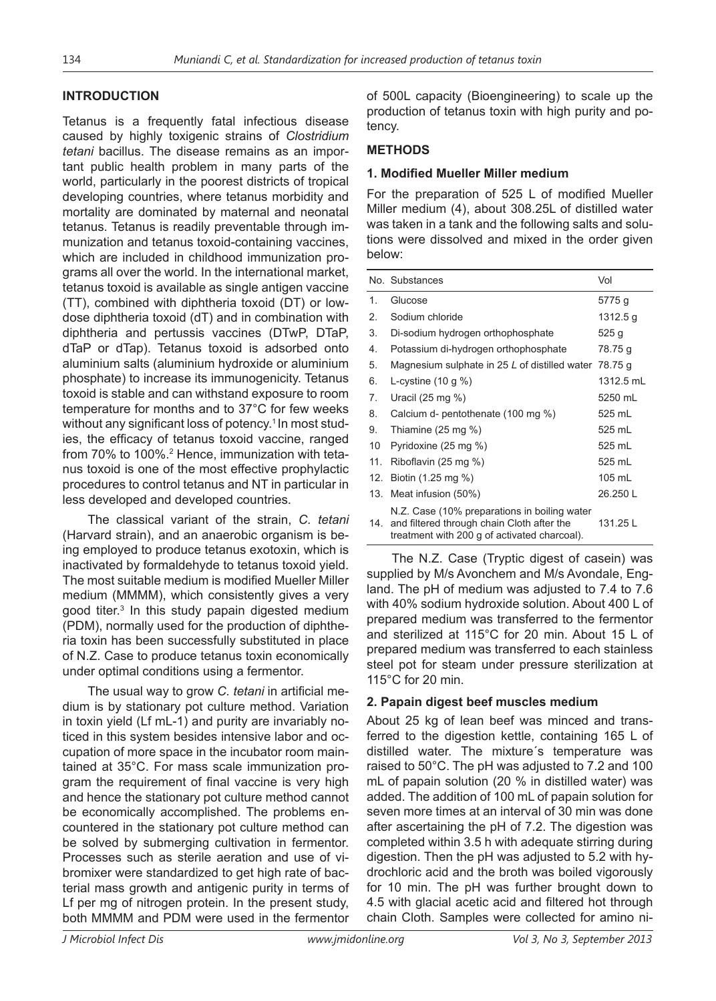# **INTRODUCTION**

Tetanus is a frequently fatal infectious disease caused by highly toxigenic strains of *Clostridium tetani* bacillus. The disease remains as an important public health problem in many parts of the world, particularly in the poorest districts of tropical developing countries, where tetanus morbidity and mortality are dominated by maternal and neonatal tetanus. Tetanus is readily preventable through immunization and tetanus toxoid-containing vaccines, which are included in childhood immunization programs all over the world. In the international market, tetanus toxoid is available as single antigen vaccine (TT), combined with diphtheria toxoid (DT) or lowdose diphtheria toxoid (dT) and in combination with diphtheria and pertussis vaccines (DTwP, DTaP, dTaP or dTap). Tetanus toxoid is adsorbed onto aluminium salts (aluminium hydroxide or aluminium phosphate) to increase its immunogenicity. Tetanus toxoid is stable and can withstand exposure to room temperature for months and to 37°C for few weeks without any significant loss of potency.<sup>1</sup> In most studies, the efficacy of tetanus toxoid vaccine, ranged from 70% to 100%.2 Hence, immunization with tetanus toxoid is one of the most effective prophylactic procedures to control tetanus and NT in particular in less developed and developed countries.

The classical variant of the strain, *C. tetani*  (Harvard strain), and an anaerobic organism is being employed to produce tetanus exotoxin, which is inactivated by formaldehyde to tetanus toxoid yield. The most suitable medium is modified Mueller Miller medium (MMMM), which consistently gives a very good titer.3 In this study papain digested medium (PDM), normally used for the production of diphtheria toxin has been successfully substituted in place of N.Z. Case to produce tetanus toxin economically under optimal conditions using a fermentor.

The usual way to grow *C. tetani* in artificial medium is by stationary pot culture method. Variation in toxin yield (Lf mL-1) and purity are invariably noticed in this system besides intensive labor and occupation of more space in the incubator room maintained at 35°C. For mass scale immunization program the requirement of final vaccine is very high and hence the stationary pot culture method cannot be economically accomplished. The problems encountered in the stationary pot culture method can be solved by submerging cultivation in fermentor. Processes such as sterile aeration and use of vibromixer were standardized to get high rate of bacterial mass growth and antigenic purity in terms of Lf per mg of nitrogen protein. In the present study, both MMMM and PDM were used in the fermentor

of 500L capacity (Bioengineering) to scale up the production of tetanus toxin with high purity and potency.

## **METHODS**

### **1. Modified Mueller Miller medium**

For the preparation of 525 L of modified Mueller Miller medium (4), about 308.25L of distilled water was taken in a tank and the following salts and solutions were dissolved and mixed in the order given below:

|     | No. Substances                                                                                                                             | Vol       |
|-----|--------------------------------------------------------------------------------------------------------------------------------------------|-----------|
| 1.  | Glucose                                                                                                                                    | 5775 g    |
| 2.  | Sodium chloride                                                                                                                            | 1312.5 g  |
| 3.  | Di-sodium hydrogen orthophosphate                                                                                                          | 525 g     |
| 4.  | Potassium di-hydrogen orthophosphate                                                                                                       | 78.75 g   |
| 5.  | Magnesium sulphate in 25 L of distilled water                                                                                              | 78.75 g   |
| 6.  | L-cystine $(10 g %)$                                                                                                                       | 1312.5 mL |
| 7.  | Uracil $(25 \text{ mg } \%)$                                                                                                               | 5250 mL   |
| 8.  | Calcium d- pentothenate (100 mg %)                                                                                                         | 525 mL    |
| 9.  | Thiamine $(25 \text{ mg } \%)$                                                                                                             | 525 mL    |
| 10  | Pyridoxine (25 mg %)                                                                                                                       | 525 mL    |
| 11. | Riboflavin (25 mg %)                                                                                                                       | 525 mL    |
| 12. | Biotin (1.25 mg %)                                                                                                                         | 105 mL    |
| 13. | Meat infusion (50%)                                                                                                                        | 26.250L   |
| 14. | N.Z. Case (10% preparations in boiling water<br>and filtered through chain Cloth after the<br>treatment with 200 g of activated charcoal). | 131.25 L  |

The N.Z. Case (Tryptic digest of casein) was supplied by M/s Avonchem and M/s Avondale, England. The pH of medium was adjusted to 7.4 to 7.6 with 40% sodium hydroxide solution. About 400 L of prepared medium was transferred to the fermentor and sterilized at 115°C for 20 min. About 15 L of prepared medium was transferred to each stainless steel pot for steam under pressure sterilization at 115°C for 20 min.

### **2. Papain digest beef muscles medium**

About 25 kg of lean beef was minced and transferred to the digestion kettle, containing 165 L of distilled water. The mixture´s temperature was raised to 50°C. The pH was adjusted to 7.2 and 100 mL of papain solution (20 % in distilled water) was added. The addition of 100 mL of papain solution for seven more times at an interval of 30 min was done after ascertaining the pH of 7.2. The digestion was completed within 3.5 h with adequate stirring during digestion. Then the pH was adjusted to 5.2 with hydrochloric acid and the broth was boiled vigorously for 10 min. The pH was further brought down to 4.5 with glacial acetic acid and filtered hot through chain Cloth. Samples were collected for amino ni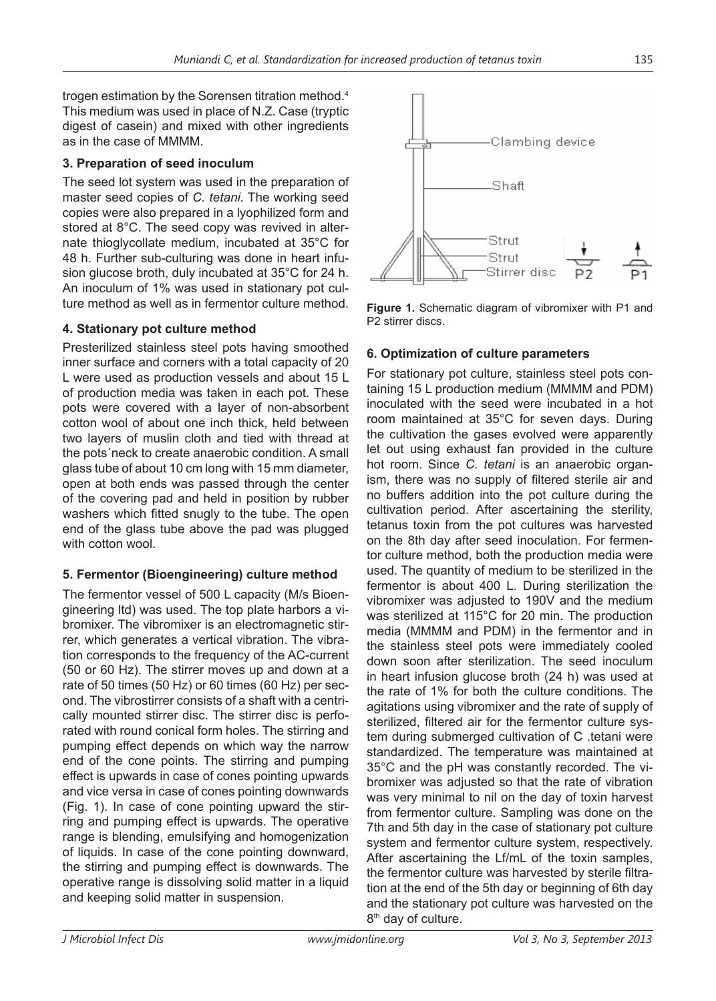trogen estimation by the Sorensen titration method.<sup>4</sup> This medium was used in place of N.Z. Case (tryptic digest of casein) and mixed with other ingredients as in the case of MMMM.

# **3. Preparation of seed inoculum**

The seed lot system was used in the preparation of master seed copies of *C. tetani*. The working seed copies were also prepared in a lyophilized form and stored at 8°C. The seed copy was revived in alternate thioglycollate medium, incubated at 35°C for 48 h. Further sub-culturing was done in heart infusion glucose broth, duly incubated at 35°C for 24 h. An inoculum of 1% was used in stationary pot culture method as well as in fermentor culture method.

# **4. Stationary pot culture method**

Presterilized stainless steel pots having smoothed inner surface and corners with a total capacity of 20 L were used as production vessels and about 15 L of production media was taken in each pot. These pots were covered with a layer of non-absorbent cotton wool of about one inch thick, held between two layers of muslin cloth and tied with thread at the pots´neck to create anaerobic condition. A small glass tube of about 10 cm long with 15 mm diameter, open at both ends was passed through the center of the covering pad and held in position by rubber washers which fitted snugly to the tube. The open end of the glass tube above the pad was plugged with cotton wool.

### **5. Fermentor (Bioengineering) culture method**

The fermentor vessel of 500 L capacity (M/s Bioengineering ltd) was used. The top plate harbors a vibromixer. The vibromixer is an electromagnetic stirrer, which generates a vertical vibration. The vibration corresponds to the frequency of the AC-current (50 or 60 Hz). The stirrer moves up and down at a rate of 50 times (50 Hz) or 60 times (60 Hz) per second. The vibrostirrer consists of a shaft with a centrically mounted stirrer disc. The stirrer disc is perforated with round conical form holes. The stirring and pumping effect depends on which way the narrow end of the cone points. The stirring and pumping effect is upwards in case of cones pointing upwards and vice versa in case of cones pointing downwards (Fig. 1). In case of cone pointing upward the stirring and pumping effect is upwards. The operative range is blending, emulsifying and homogenization of liquids. In case of the cone pointing downward, the stirring and pumping effect is downwards. The operative range is dissolving solid matter in a liquid and keeping solid matter in suspension.



**Figure 1.** Schematic diagram of vibromixer with P1 and P2 stirrer discs.

# **6. Optimization of culture parameters**

For stationary pot culture, stainless steel pots containing 15 L production medium (MMMM and PDM) inoculated with the seed were incubated in a hot room maintained at 35°C for seven days. During the cultivation the gases evolved were apparently let out using exhaust fan provided in the culture hot room. Since *C. tetani* is an anaerobic organism, there was no supply of filtered sterile air and no buffers addition into the pot culture during the cultivation period. After ascertaining the sterility, tetanus toxin from the pot cultures was harvested on the 8th day after seed inoculation. For fermentor culture method, both the production media were used. The quantity of medium to be sterilized in the fermentor is about 400 L. During sterilization the vibromixer was adjusted to 190V and the medium was sterilized at 115°C for 20 min. The production media (MMMM and PDM) in the fermentor and in the stainless steel pots were immediately cooled down soon after sterilization. The seed inoculum in heart infusion glucose broth (24 h) was used at the rate of 1% for both the culture conditions. The agitations using vibromixer and the rate of supply of sterilized, filtered air for the fermentor culture system during submerged cultivation of C .tetani were standardized. The temperature was maintained at 35°C and the pH was constantly recorded. The vibromixer was adjusted so that the rate of vibration was very minimal to nil on the day of toxin harvest from fermentor culture. Sampling was done on the 7th and 5th day in the case of stationary pot culture system and fermentor culture system, respectively. After ascertaining the Lf/mL of the toxin samples, the fermentor culture was harvested by sterile filtration at the end of the 5th day or beginning of 6th day and the stationary pot culture was harvested on the 8<sup>th</sup> day of culture.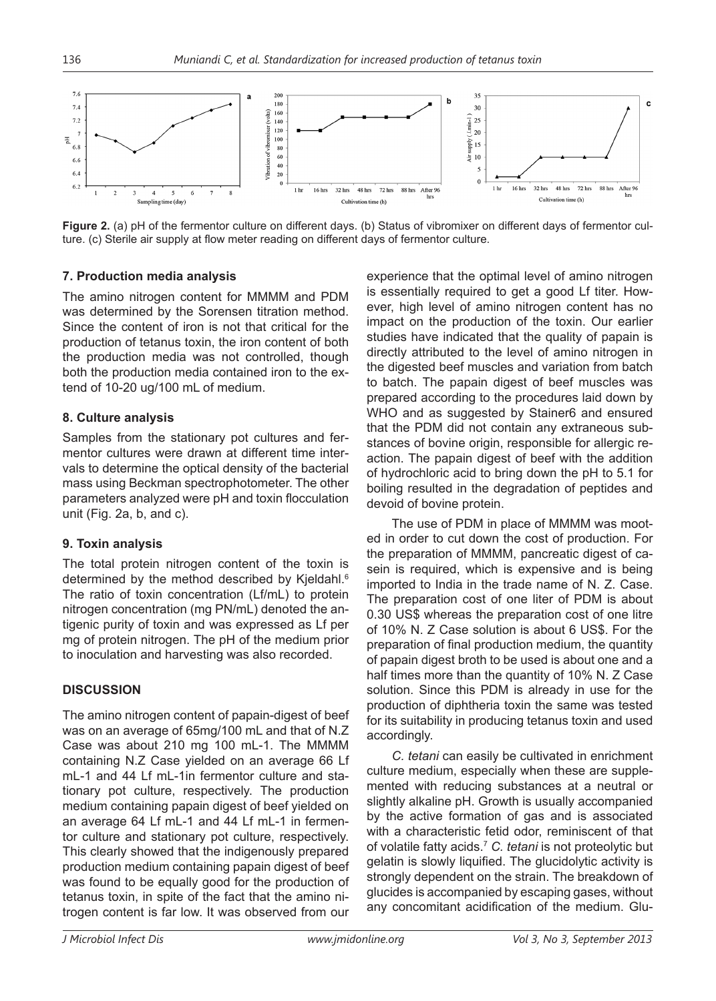

**Figure 2.** (a) pH of the fermentor culture on different days. (b) Status of vibromixer on different days of fermentor culture. (c) Sterile air supply at flow meter reading on different days of fermentor culture.

### **7. Production media analysis**

The amino nitrogen content for MMMM and PDM was determined by the Sorensen titration method. Since the content of iron is not that critical for the production of tetanus toxin, the iron content of both the production media was not controlled, though both the production media contained iron to the extend of 10-20 ug/100 mL of medium.

# **8. Culture analysis**

Samples from the stationary pot cultures and fermentor cultures were drawn at different time intervals to determine the optical density of the bacterial mass using Beckman spectrophotometer. The other parameters analyzed were pH and toxin flocculation unit (Fig. 2a, b, and c).

# **9. Toxin analysis**

The total protein nitrogen content of the toxin is determined by the method described by Kjeldahl.<sup>6</sup> The ratio of toxin concentration (Lf/mL) to protein nitrogen concentration (mg PN/mL) denoted the antigenic purity of toxin and was expressed as Lf per mg of protein nitrogen. The pH of the medium prior to inoculation and harvesting was also recorded.

# **DISCUSSION**

The amino nitrogen content of papain-digest of beef was on an average of 65mg/100 mL and that of N.Z Case was about 210 mg 100 mL-1. The MMMM containing N.Z Case yielded on an average 66 Lf mL-1 and 44 Lf mL-1in fermentor culture and stationary pot culture, respectively. The production medium containing papain digest of beef yielded on an average 64 Lf mL-1 and 44 Lf mL-1 in fermentor culture and stationary pot culture, respectively. This clearly showed that the indigenously prepared production medium containing papain digest of beef was found to be equally good for the production of tetanus toxin, in spite of the fact that the amino nitrogen content is far low. It was observed from our experience that the optimal level of amino nitrogen is essentially required to get a good Lf titer. However, high level of amino nitrogen content has no impact on the production of the toxin. Our earlier studies have indicated that the quality of papain is directly attributed to the level of amino nitrogen in the digested beef muscles and variation from batch to batch. The papain digest of beef muscles was prepared according to the procedures laid down by WHO and as suggested by Stainer6 and ensured that the PDM did not contain any extraneous substances of bovine origin, responsible for allergic reaction. The papain digest of beef with the addition of hydrochloric acid to bring down the pH to 5.1 for boiling resulted in the degradation of peptides and devoid of bovine protein.

The use of PDM in place of MMMM was mooted in order to cut down the cost of production. For the preparation of MMMM, pancreatic digest of casein is required, which is expensive and is being imported to India in the trade name of N. Z. Case. The preparation cost of one liter of PDM is about 0.30 US\$ whereas the preparation cost of one litre of 10% N. Z Case solution is about 6 US\$. For the preparation of final production medium, the quantity of papain digest broth to be used is about one and a half times more than the quantity of 10% N. Z Case solution. Since this PDM is already in use for the production of diphtheria toxin the same was tested for its suitability in producing tetanus toxin and used accordingly.

*C. tetani* can easily be cultivated in enrichment culture medium, especially when these are supplemented with reducing substances at a neutral or slightly alkaline pH. Growth is usually accompanied by the active formation of gas and is associated with a characteristic fetid odor, reminiscent of that of volatile fatty acids.7 *C. tetani* is not proteolytic but gelatin is slowly liquified. The glucidolytic activity is strongly dependent on the strain. The breakdown of glucides is accompanied by escaping gases, without any concomitant acidification of the medium. Glu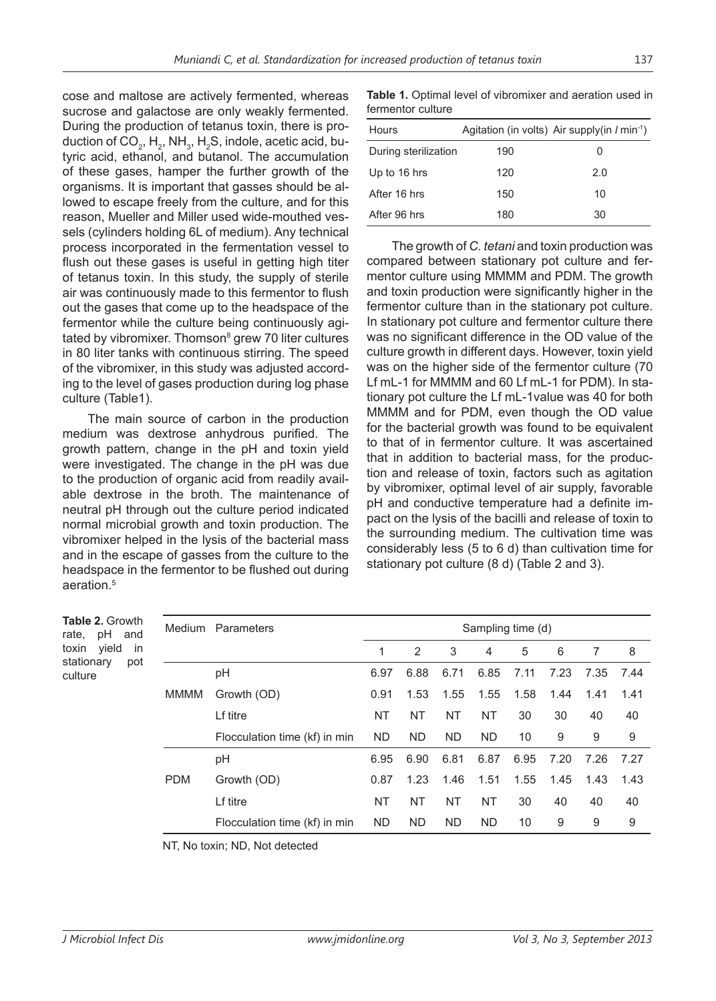cose and maltose are actively fermented, whereas sucrose and galactose are only weakly fermented. During the production of tetanus toxin, there is production of CO<sub>2</sub>, H<sub>2</sub>, NH<sub>3</sub>, H<sub>2</sub>S, indole, acetic acid, butyric acid, ethanol, and butanol. The accumulation of these gases, hamper the further growth of the organisms. It is important that gasses should be allowed to escape freely from the culture, and for this reason, Mueller and Miller used wide-mouthed vessels (cylinders holding 6L of medium). Any technical process incorporated in the fermentation vessel to flush out these gases is useful in getting high titer of tetanus toxin. In this study, the supply of sterile air was continuously made to this fermentor to flush out the gases that come up to the headspace of the fermentor while the culture being continuously agitated by vibromixer. Thomson<sup>s</sup> grew 70 liter cultures in 80 liter tanks with continuous stirring. The speed of the vibromixer, in this study was adjusted according to the level of gases production during log phase culture (Table1).

The main source of carbon in the production medium was dextrose anhydrous purified. The growth pattern, change in the pH and toxin yield were investigated. The change in the pH was due to the production of organic acid from readily available dextrose in the broth. The maintenance of neutral pH through out the culture period indicated normal microbial growth and toxin production. The vibromixer helped in the lysis of the bacterial mass and in the escape of gasses from the culture to the headspace in the fermentor to be flushed out during aeration.5

**Table 1.** Optimal level of vibromixer and aeration used in fermentor culture

| Hours                |     | Agitation (in volts) Air supply(in $l$ min <sup>-1</sup> ) |
|----------------------|-----|------------------------------------------------------------|
| During sterilization | 190 | Ω                                                          |
| Up to 16 hrs         | 120 | 2.0                                                        |
| After 16 hrs         | 150 | 10                                                         |
| After 96 hrs         | 180 | 30                                                         |

The growth of *C. tetani* and toxin production was compared between stationary pot culture and fermentor culture using MMMM and PDM. The growth and toxin production were significantly higher in the fermentor culture than in the stationary pot culture. In stationary pot culture and fermentor culture there was no significant difference in the OD value of the culture growth in different days. However, toxin yield was on the higher side of the fermentor culture (70 Lf mL-1 for MMMM and 60 Lf mL-1 for PDM). In stationary pot culture the Lf mL-1value was 40 for both MMMM and for PDM, even though the OD value for the bacterial growth was found to be equivalent to that of in fermentor culture. It was ascertained that in addition to bacterial mass, for the production and release of toxin, factors such as agitation by vibromixer, optimal level of air supply, favorable pH and conductive temperature had a definite impact on the lysis of the bacilli and release of toxin to the surrounding medium. The cultivation time was considerably less (5 to 6 d) than cultivation time for stationary pot culture (8 d) (Table 2 and 3).

| <b>Table 2. Growth</b><br>pH and<br>rate, |            | Medium Parameters             | Sampling time (d) |           |           |           |      |      |      |      |
|-------------------------------------------|------------|-------------------------------|-------------------|-----------|-----------|-----------|------|------|------|------|
| yield<br>toxin<br>in                      |            |                               |                   | 2         | 3         | 4         | 5    | 6    | 7    | 8    |
| stationary<br>pot<br>culture              |            | pH                            | 6.97              | 6.88      | 6.71      | 6.85      | 7.11 | 7.23 | 7.35 | 7.44 |
|                                           | MMMM       | Growth (OD)                   | 0.91              | 1.53      | 1.55      | 1.55      | 1.58 | 1.44 | 1.41 | 1.41 |
|                                           |            | Lf titre                      | <b>NT</b>         | NT        | <b>NT</b> | <b>NT</b> | 30   | 30   | 40   | 40   |
|                                           |            | Flocculation time (kf) in min | <b>ND</b>         | ND        | <b>ND</b> | ND.       | 10   | 9    | 9    | 9    |
|                                           |            | pH                            | 6.95              | 6.90      | 6.81      | 6.87      | 6.95 | 7.20 | 7.26 | 7.27 |
|                                           | <b>PDM</b> | Growth (OD)                   | 0.87              | 1.23      | 1.46      | 1.51      | 1.55 | 1.45 | 1.43 | 1.43 |
|                                           |            | Lf titre                      | <b>NT</b>         | NT        | <b>NT</b> | <b>NT</b> | 30   | 40   | 40   | 40   |
|                                           |            | Flocculation time (kf) in min | <b>ND</b>         | <b>ND</b> | <b>ND</b> | <b>ND</b> | 10   | 9    | 9    | 9    |

NT, No toxin; ND, Not detected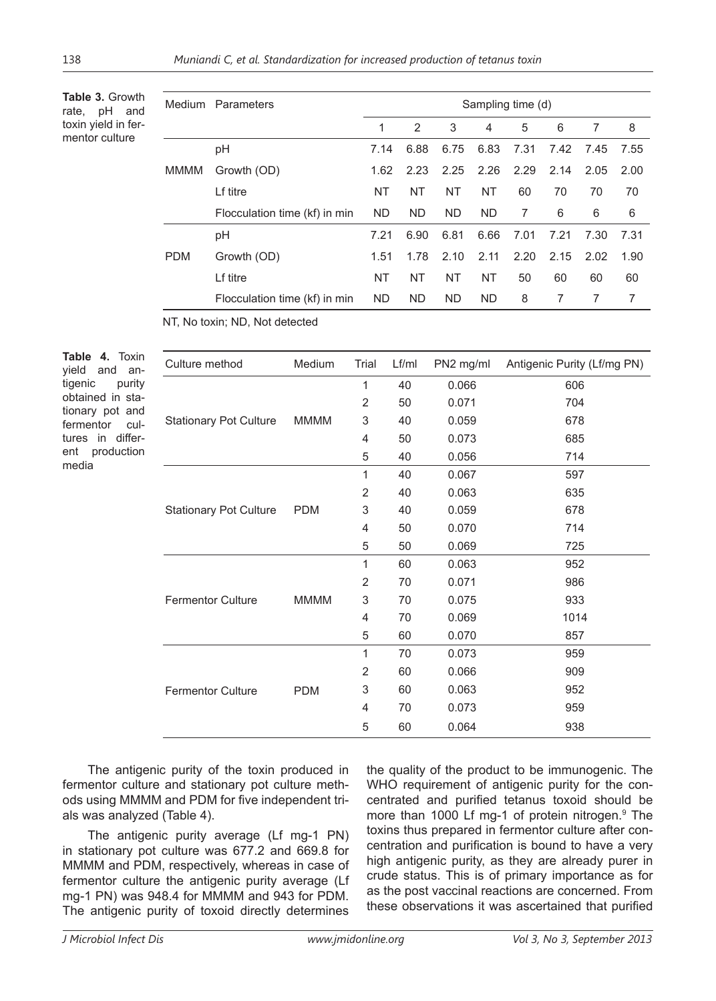**Table 3.** Growth rate, pH and toxin yield in fermentor culture

| Medium | Parameters                    |      | Sampling time (d) |           |           |      |      |      |      |
|--------|-------------------------------|------|-------------------|-----------|-----------|------|------|------|------|
|        |                               | 1    | 2                 | 3         | 4         | 5    | 6    | 7    | 8    |
|        | рH                            | 7.14 | 6.88              | 6.75      | 6.83      | 7.31 | 7.42 | 7.45 | 7.55 |
| MMMM   | Growth (OD)                   | 1.62 | 2.23              | 2.25      | 2.26      | 2.29 | 2.14 | 2.05 | 2.00 |
|        | Lf titre                      | NT   | <b>NT</b>         | <b>NT</b> | <b>NT</b> | 60   | 70   | 70   | 70   |
|        | Flocculation time (kf) in min | ND.  | ND.               | ND.       | <b>ND</b> | 7    | 6    | 6    | 6    |
|        | рH                            | 7.21 | 6.90              | 6.81      | 6.66      | 7.01 | 7.21 | 7.30 | 7.31 |
| PDM    | Growth (OD)                   | 1.51 | 1.78              | 2.10      | 2.11      | 2.20 | 2.15 | 2.02 | 1.90 |
|        | Lf titre                      | NT   | NT                | <b>NT</b> | <b>NT</b> | 50   | 60   | 60   | 60   |
|        | Flocculation time (kf) in min | ND.  | <b>ND</b>         | <b>ND</b> | <b>ND</b> | 8    | 7    | 7    | 7    |
|        |                               |      |                   |           |           |      |      |      |      |

NT, No toxin; ND, Not detected

**Table 4.** Toxin yield and antigenic purity obtained in stationary pot and fermentor cultures in different production media

| Culture method                | Medium      | Trial          | Lf/ml | PN2 mg/ml | Antigenic Purity (Lf/mg PN) |
|-------------------------------|-------------|----------------|-------|-----------|-----------------------------|
|                               |             | 1              | 40    | 0.066     | 606                         |
|                               |             | $\overline{2}$ | 50    | 0.071     | 704                         |
| <b>Stationary Pot Culture</b> | <b>MMMM</b> | 3              | 40    | 0.059     | 678                         |
|                               |             | 4              | 50    | 0.073     | 685                         |
|                               |             | 5              | 40    | 0.056     | 714                         |
|                               |             | 1              | 40    | 0.067     | 597                         |
|                               |             | $\overline{2}$ | 40    | 0.063     | 635                         |
| <b>Stationary Pot Culture</b> | <b>PDM</b>  | 3              | 40    | 0.059     | 678                         |
|                               |             | 4              | 50    | 0.070     | 714                         |
|                               |             | 5              | 50    | 0.069     | 725                         |
|                               |             | 1              | 60    | 0.063     | 952                         |
|                               |             | 2              | 70    | 0.071     | 986                         |
| <b>Fermentor Culture</b>      | <b>MMMM</b> | 3              | 70    | 0.075     | 933                         |
|                               |             | 4              | 70    | 0.069     | 1014                        |
|                               |             | 5              | 60    | 0.070     | 857                         |
|                               |             | 1              | 70    | 0.073     | 959                         |
|                               | <b>PDM</b>  | $\overline{2}$ | 60    | 0.066     | 909                         |
| <b>Fermentor Culture</b>      |             | 3              | 60    | 0.063     | 952                         |
|                               |             | 4              | 70    | 0.073     | 959                         |
|                               |             | 5              | 60    | 0.064     | 938                         |

The antigenic purity of the toxin produced in fermentor culture and stationary pot culture methods using MMMM and PDM for five independent trials was analyzed (Table 4).

The antigenic purity average (Lf mg-1 PN) in stationary pot culture was 677.2 and 669.8 for MMMM and PDM, respectively, whereas in case of fermentor culture the antigenic purity average (Lf mg-1 PN) was 948.4 for MMMM and 943 for PDM. The antigenic purity of toxoid directly determines

the quality of the product to be immunogenic. The WHO requirement of antigenic purity for the concentrated and purified tetanus toxoid should be more than 1000 Lf mg-1 of protein nitrogen.<sup>9</sup> The toxins thus prepared in fermentor culture after concentration and purification is bound to have a very high antigenic purity, as they are already purer in crude status. This is of primary importance as for as the post vaccinal reactions are concerned. From these observations it was ascertained that purified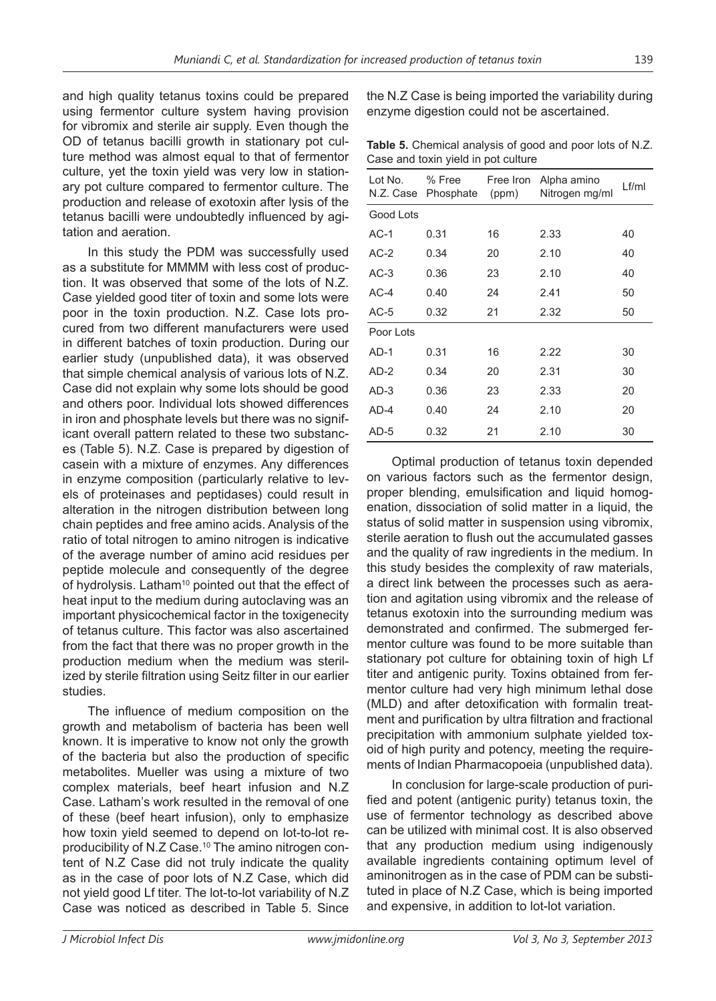and high quality tetanus toxins could be prepared using fermentor culture system having provision for vibromix and sterile air supply. Even though the OD of tetanus bacilli growth in stationary pot culture method was almost equal to that of fermentor culture, yet the toxin yield was very low in stationary pot culture compared to fermentor culture. The production and release of exotoxin after lysis of the tetanus bacilli were undoubtedly influenced by agitation and aeration.

In this study the PDM was successfully used as a substitute for MMMM with less cost of production. It was observed that some of the lots of N.Z. Case yielded good titer of toxin and some lots were poor in the toxin production. N.Z. Case lots procured from two different manufacturers were used in different batches of toxin production. During our earlier study (unpublished data), it was observed that simple chemical analysis of various lots of N.Z. Case did not explain why some lots should be good and others poor. Individual lots showed differences in iron and phosphate levels but there was no significant overall pattern related to these two substances (Table 5). N.Z. Case is prepared by digestion of casein with a mixture of enzymes. Any differences in enzyme composition (particularly relative to levels of proteinases and peptidases) could result in alteration in the nitrogen distribution between long chain peptides and free amino acids. Analysis of the ratio of total nitrogen to amino nitrogen is indicative of the average number of amino acid residues per peptide molecule and consequently of the degree of hydrolysis. Latham<sup>10</sup> pointed out that the effect of heat input to the medium during autoclaving was an important physicochemical factor in the toxigenecity of tetanus culture. This factor was also ascertained from the fact that there was no proper growth in the production medium when the medium was sterilized by sterile filtration using Seitz filter in our earlier studies.

The influence of medium composition on the growth and metabolism of bacteria has been well known. It is imperative to know not only the growth of the bacteria but also the production of specific metabolites. Mueller was using a mixture of two complex materials, beef heart infusion and N.Z Case. Latham's work resulted in the removal of one of these (beef heart infusion), only to emphasize how toxin yield seemed to depend on lot-to-lot reproducibility of N.Z Case.<sup>10</sup> The amino nitrogen content of N.Z Case did not truly indicate the quality as in the case of poor lots of N.Z Case, which did not yield good Lf titer. The lot-to-lot variability of N.Z Case was noticed as described in Table 5. Since

the N.Z Case is being imported the variability during enzyme digestion could not be ascertained.

**Table 5.** Chemical analysis of good and poor lots of N.Z. Case and toxin yield in pot culture

| Lot No.<br>N.Z. Case | % Free<br>Phosphate (ppm) | Free Iron | Alpha amino<br>Nitrogen mg/ml | Lf/ml |  |  |
|----------------------|---------------------------|-----------|-------------------------------|-------|--|--|
| Good Lots            |                           |           |                               |       |  |  |
| $AC-1$               | 0.31                      | 16        | 2.33                          | 40    |  |  |
| $AC-2$               | 0.34                      | 20        | 2.10                          | 40    |  |  |
| $AC-3$               | 0.36                      | 23        | 2.10                          | 40    |  |  |
| $AC-4$               | 0.40                      | 24        | 2.41                          | 50    |  |  |
| $AC-5$               | 0.32                      | 21        | 2.32                          | 50    |  |  |
| Poor Lots            |                           |           |                               |       |  |  |
| $AD-1$               | 0.31                      | 16        | 2.22                          | 30    |  |  |
| $AD-2$               | 0.34                      | 20        | 2.31                          | 30    |  |  |
| $AD-3$               | 0.36                      | 23        | 2.33                          | 20    |  |  |
| AD-4                 | 0.40                      | 24        | 2.10                          | 20    |  |  |
| AD-5                 | 0.32                      | 21        | 2.10                          | 30    |  |  |

Optimal production of tetanus toxin depended on various factors such as the fermentor design, proper blending, emulsification and liquid homogenation, dissociation of solid matter in a liquid, the status of solid matter in suspension using vibromix, sterile aeration to flush out the accumulated gasses and the quality of raw ingredients in the medium. In this study besides the complexity of raw materials, a direct link between the processes such as aeration and agitation using vibromix and the release of tetanus exotoxin into the surrounding medium was demonstrated and confirmed. The submerged fermentor culture was found to be more suitable than stationary pot culture for obtaining toxin of high Lf titer and antigenic purity. Toxins obtained from fermentor culture had very high minimum lethal dose (MLD) and after detoxification with formalin treatment and purification by ultra filtration and fractional precipitation with ammonium sulphate yielded toxoid of high purity and potency, meeting the requirements of Indian Pharmacopoeia (unpublished data).

In conclusion for large-scale production of purified and potent (antigenic purity) tetanus toxin, the use of fermentor technology as described above can be utilized with minimal cost. It is also observed that any production medium using indigenously available ingredients containing optimum level of aminonitrogen as in the case of PDM can be substituted in place of N.Z Case, which is being imported and expensive, in addition to lot-lot variation.